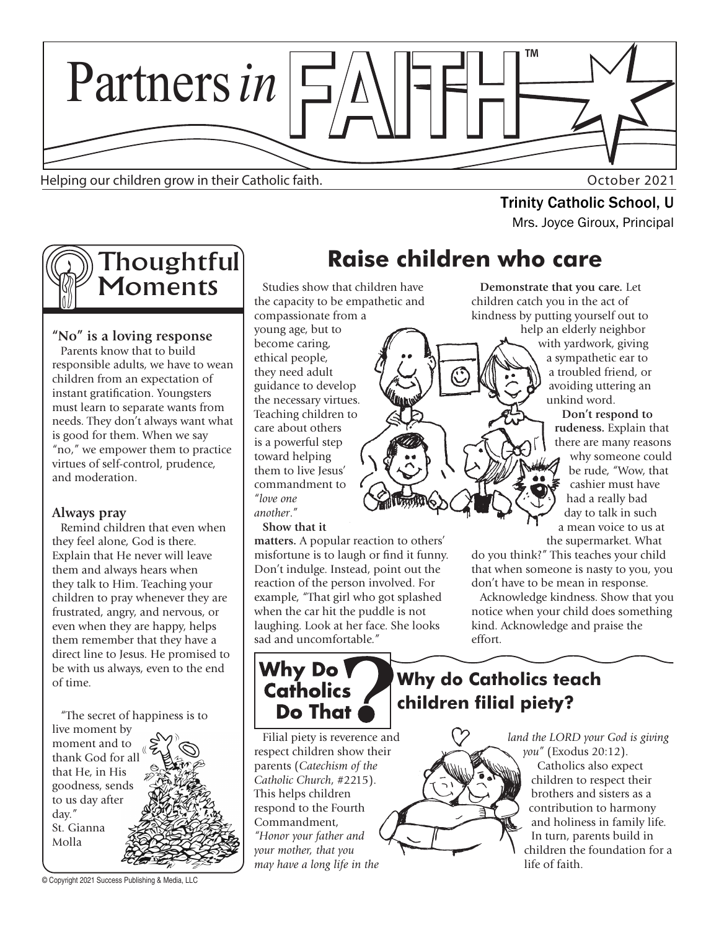

Helping our children grow in their Catholic faith. The state of the control of the Catholic faith.

**Trinity Catholic School, U**<br>Mrs. Joyce Giroux, Principal



### **"No" is a loving response**

Parents know that to build responsible adults, we have to wean children from an expectation of instant gratification. Youngsters must learn to separate wants from needs. They don't always want what is good for them. When we say "no," we empower them to practice virtues of self-control, prudence, and moderation.

#### **Always pray**

Remind children that even when they feel alone, God is there. Explain that He never will leave them and always hears when they talk to Him. Teaching your children to pray whenever they are frustrated, angry, and nervous, or even when they are happy, helps them remember that they have a direct line to Jesus. He promised to be with us always, even to the end of time.

"The secret of happiness is to

live moment by moment and to thank God for all that He, in His goodness, sends to us day after day." St. Gianna Molla

© Copyright 2021 Success Publishing & Media, LLC

# **Raise children who care**

Studies show that children have the capacity to be empathetic and compassionate from a young age, but to become caring, ethical people, they need adult guidance to develop the necessary virtues. Teaching children to care about others is a powerful step toward helping them to live Jesus' commandment to "*love one another*."

#### **Show that it**

**matters.** A popular reaction to others' misfortune is to laugh or find it funny. Don't indulge. Instead, point out the reaction of the person involved. For example, "That girl who got splashed when the car hit the puddle is not laughing. Look at her face. She looks sad and uncomfortable."

Why Do **Catholics** Do That

Filial piety is reverence and respect children show their parents (*Catechism of the Catholic Church*, #2215). This helps children respond to the Fourth Commandment, *"Honor your father and your mother, that you may have a long life in the* 

#### **Demonstrate that you care.** Let children catch you in the act of kindness by putting yourself out to help an elderly neighbor

with yardwork, giving a sympathetic ear to a troubled friend, or avoiding uttering an unkind word.

**Don't respond to rudeness.** Explain that there are many reasons why someone could be rude, "Wow, that cashier must have had a really bad day to talk in such a mean voice to us at the supermarket. What

do you think?" This teaches your child that when someone is nasty to you, you don't have to be mean in response.

Acknowledge kindness. Show that you notice when your child does something kind. Acknowledge and praise the effort.

## **Why do Catholics teach children filial piety?**

*land the LORD your God is giving you"* (Exodus 20:12). Catholics also expect children to respect their brothers and sisters as a contribution to harmony and holiness in family life. In turn, parents build in children the foundation for a life of faith.